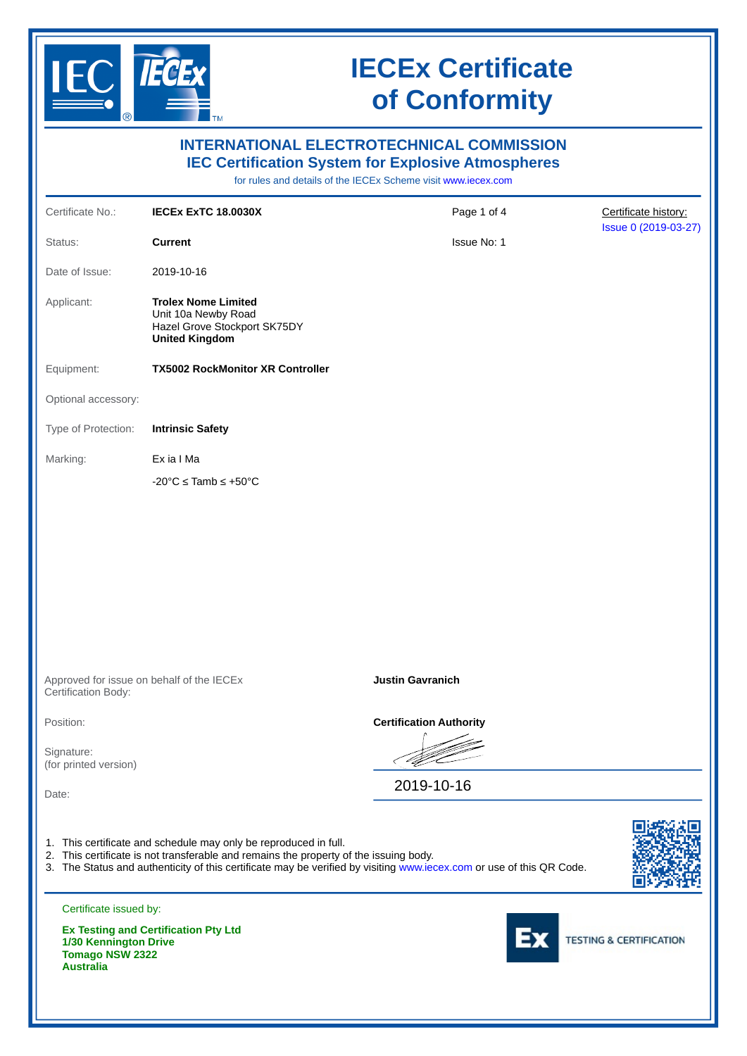

|                                                                     |                                                                                                                                                                                                                                                                                   | <b>INTERNATIONAL ELECTROTECHNICAL COMMISSION</b><br><b>IEC Certification System for Explosive Atmospheres</b><br>for rules and details of the IECEx Scheme visit www.iecex.com |                                    |
|---------------------------------------------------------------------|-----------------------------------------------------------------------------------------------------------------------------------------------------------------------------------------------------------------------------------------------------------------------------------|--------------------------------------------------------------------------------------------------------------------------------------------------------------------------------|------------------------------------|
| Certificate No.:                                                    | <b>IECEX EXTC 18.0030X</b>                                                                                                                                                                                                                                                        | Page 1 of 4                                                                                                                                                                    | Certificate history:               |
| Status:                                                             | <b>Current</b>                                                                                                                                                                                                                                                                    | Issue No: 1                                                                                                                                                                    | Issue 0 (2019-03-27)               |
| Date of Issue:                                                      | 2019-10-16                                                                                                                                                                                                                                                                        |                                                                                                                                                                                |                                    |
| Applicant:                                                          | <b>Trolex Nome Limited</b><br>Unit 10a Newby Road<br>Hazel Grove Stockport SK75DY<br><b>United Kingdom</b>                                                                                                                                                                        |                                                                                                                                                                                |                                    |
| Equipment:                                                          | <b>TX5002 RockMonitor XR Controller</b>                                                                                                                                                                                                                                           |                                                                                                                                                                                |                                    |
| Optional accessory:                                                 |                                                                                                                                                                                                                                                                                   |                                                                                                                                                                                |                                    |
| Type of Protection:                                                 | <b>Intrinsic Safety</b>                                                                                                                                                                                                                                                           |                                                                                                                                                                                |                                    |
| Marking:                                                            | Ex ia I Ma                                                                                                                                                                                                                                                                        |                                                                                                                                                                                |                                    |
|                                                                     | $-20^{\circ}$ C $\leq$ Tamb $\leq$ +50 $^{\circ}$ C                                                                                                                                                                                                                               |                                                                                                                                                                                |                                    |
|                                                                     | Approved for issue on behalf of the IECEx                                                                                                                                                                                                                                         | <b>Justin Gavranich</b>                                                                                                                                                        |                                    |
| Certification Body:                                                 |                                                                                                                                                                                                                                                                                   |                                                                                                                                                                                |                                    |
| Position:                                                           |                                                                                                                                                                                                                                                                                   | <b>Certification Authority</b>                                                                                                                                                 |                                    |
| Signature:<br>(for printed version)                                 |                                                                                                                                                                                                                                                                                   |                                                                                                                                                                                |                                    |
| Date:                                                               |                                                                                                                                                                                                                                                                                   | 2019-10-16                                                                                                                                                                     |                                    |
|                                                                     | 1. This certificate and schedule may only be reproduced in full.<br>2. This certificate is not transferable and remains the property of the issuing body.<br>3. The Status and authenticity of this certificate may be verified by visiting www.iecex.com or use of this QR Code. |                                                                                                                                                                                |                                    |
| Certificate issued by:                                              |                                                                                                                                                                                                                                                                                   |                                                                                                                                                                                |                                    |
| 1/30 Kennington Drive<br><b>Tomago NSW 2322</b><br><b>Australia</b> | <b>Ex Testing and Certification Pty Ltd</b>                                                                                                                                                                                                                                       |                                                                                                                                                                                | <b>TESTING &amp; CERTIFICATION</b> |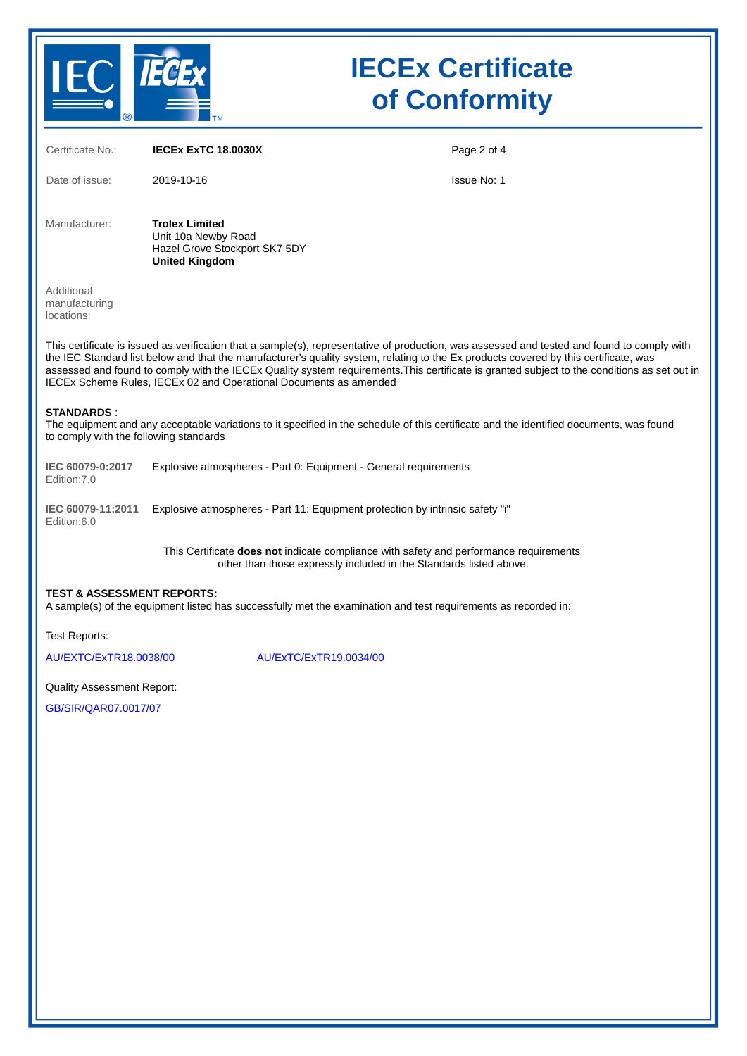

| Certificate No.:                                                                                                                                                                                                                                                                                                                                                                                                                                                                                         | <b>IECEX EXTC 18.0030X</b>                                                                                                                                          | Page 2 of 4 |  |  |  |  |  |  |  |
|----------------------------------------------------------------------------------------------------------------------------------------------------------------------------------------------------------------------------------------------------------------------------------------------------------------------------------------------------------------------------------------------------------------------------------------------------------------------------------------------------------|---------------------------------------------------------------------------------------------------------------------------------------------------------------------|-------------|--|--|--|--|--|--|--|
| Date of issue:                                                                                                                                                                                                                                                                                                                                                                                                                                                                                           | 2019-10-16                                                                                                                                                          | Issue No: 1 |  |  |  |  |  |  |  |
| Manufacturer:                                                                                                                                                                                                                                                                                                                                                                                                                                                                                            | <b>Trolex Limited</b><br>Unit 10a Newby Road<br>Hazel Grove Stockport SK7 5DY<br><b>United Kingdom</b>                                                              |             |  |  |  |  |  |  |  |
| Additional<br>manufacturing<br>locations:                                                                                                                                                                                                                                                                                                                                                                                                                                                                |                                                                                                                                                                     |             |  |  |  |  |  |  |  |
| This certificate is issued as verification that a sample(s), representative of production, was assessed and tested and found to comply with<br>the IEC Standard list below and that the manufacturer's quality system, relating to the Ex products covered by this certificate, was<br>assessed and found to comply with the IECEx Quality system requirements. This certificate is granted subject to the conditions as set out in<br>IECEx Scheme Rules, IECEx 02 and Operational Documents as amended |                                                                                                                                                                     |             |  |  |  |  |  |  |  |
| <b>STANDARDS:</b><br>The equipment and any acceptable variations to it specified in the schedule of this certificate and the identified documents, was found<br>to comply with the following standards                                                                                                                                                                                                                                                                                                   |                                                                                                                                                                     |             |  |  |  |  |  |  |  |
| IEC 60079-0:2017<br>Edition: 7.0                                                                                                                                                                                                                                                                                                                                                                                                                                                                         | Explosive atmospheres - Part 0: Equipment - General requirements                                                                                                    |             |  |  |  |  |  |  |  |
| IEC 60079-11:2011<br>Edition:6.0                                                                                                                                                                                                                                                                                                                                                                                                                                                                         | Explosive atmospheres - Part 11: Equipment protection by intrinsic safety "i"                                                                                       |             |  |  |  |  |  |  |  |
|                                                                                                                                                                                                                                                                                                                                                                                                                                                                                                          | This Certificate <b>does not</b> indicate compliance with safety and performance requirements<br>other than those expressly included in the Standards listed above. |             |  |  |  |  |  |  |  |
| <b>TEST &amp; ASSESSMENT REPORTS:</b><br>A sample(s) of the equipment listed has successfully met the examination and test requirements as recorded in:                                                                                                                                                                                                                                                                                                                                                  |                                                                                                                                                                     |             |  |  |  |  |  |  |  |
| <b>Test Reports:</b>                                                                                                                                                                                                                                                                                                                                                                                                                                                                                     |                                                                                                                                                                     |             |  |  |  |  |  |  |  |
| AU/EXTC/ExTR18.0038/00                                                                                                                                                                                                                                                                                                                                                                                                                                                                                   | AU/ExTC/ExTR19.0034/00                                                                                                                                              |             |  |  |  |  |  |  |  |
| <b>Quality Assessment Report:</b>                                                                                                                                                                                                                                                                                                                                                                                                                                                                        |                                                                                                                                                                     |             |  |  |  |  |  |  |  |
| GR/SIR/OAR07 0017/07                                                                                                                                                                                                                                                                                                                                                                                                                                                                                     |                                                                                                                                                                     |             |  |  |  |  |  |  |  |

[GB/SIR/QAR07.0017/07](https://www.iecex-certs.com/deliverables/REPORT/52344/view)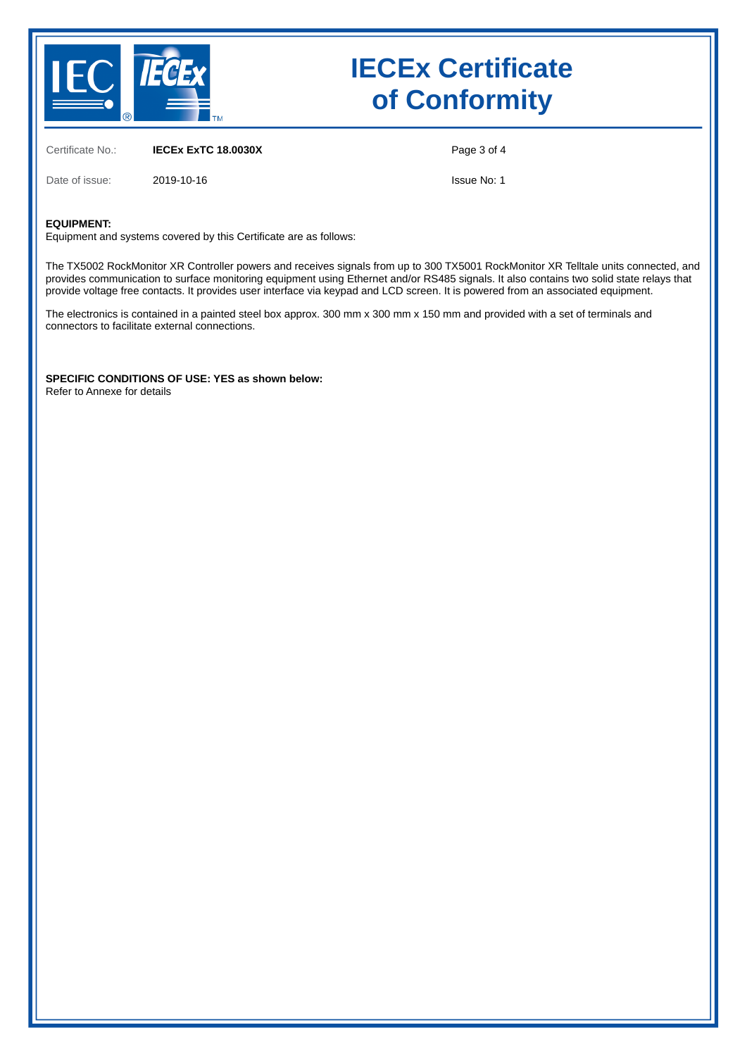

Certificate No.: **IECEx ExTC 18.0030X**

Date of issue: 2019-10-16

Page 3 of 4

Issue No: 1

#### **EQUIPMENT:**

Equipment and systems covered by this Certificate are as follows:

The TX5002 RockMonitor XR Controller powers and receives signals from up to 300 TX5001 RockMonitor XR Telltale units connected, and provides communication to surface monitoring equipment using Ethernet and/or RS485 signals. It also contains two solid state relays that provide voltage free contacts. It provides user interface via keypad and LCD screen. It is powered from an associated equipment.

The electronics is contained in a painted steel box approx. 300 mm x 300 mm x 150 mm and provided with a set of terminals and connectors to facilitate external connections.

**SPECIFIC CONDITIONS OF USE: YES as shown below:** Refer to Annexe for details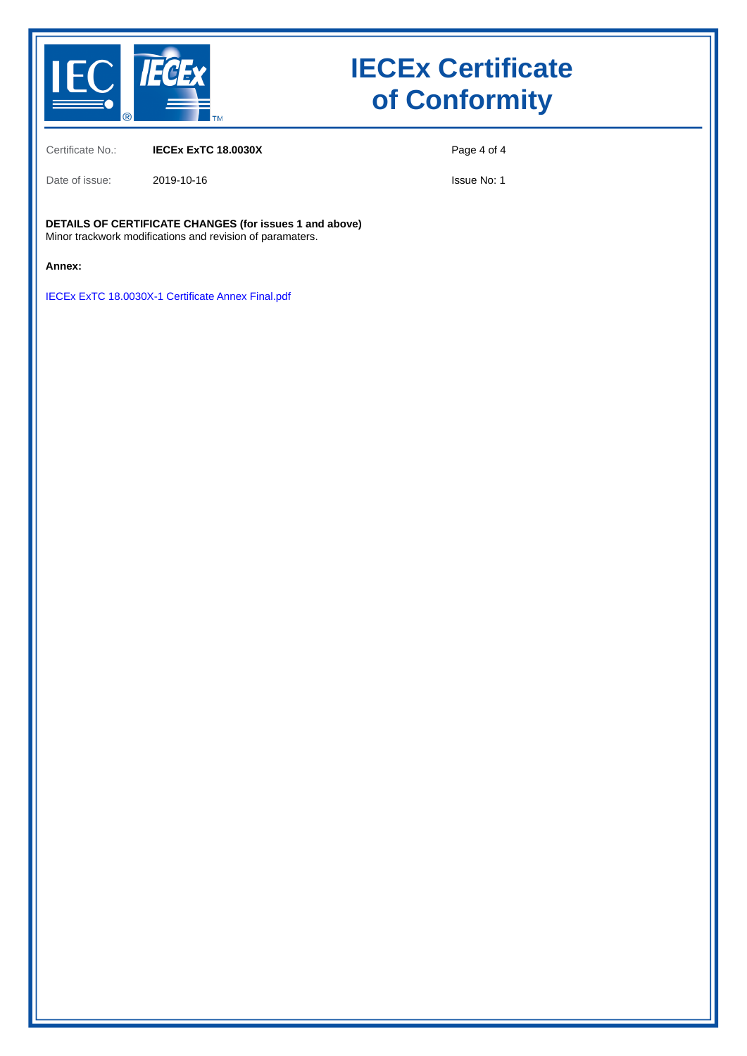

Certificate No.: **IECEx ExTC 18.0030X**

Date of issue: 2019-10-16

Page 4 of 4

Issue No: 1

**DETAILS OF CERTIFICATE CHANGES (for issues 1 and above)** Minor trackwork modifications and revision of paramaters.

**Annex:**

[IECEx ExTC 18.0030X-1 Certificate Annex Final.pdf](https://www.iecex-certs.com/deliverables/CERT/44512/view)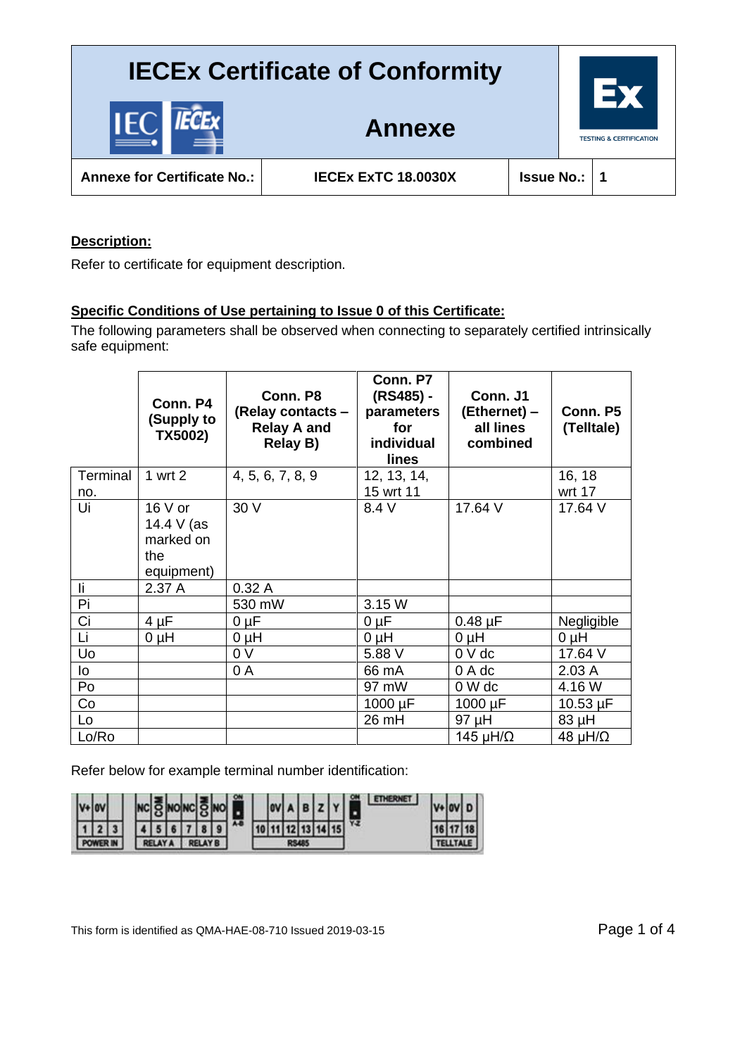

**Annexe for Certificate No.: IECEx ExTC 18.0030X Issue No.: 1**

**Annexe**

### **Description:**

Refer to certificate for equipment description.

### **Specific Conditions of Use pertaining to Issue 0 of this Certificate:**

The following parameters shall be observed when connecting to separately certified intrinsically safe equipment:

|                 | Conn. P4<br>(Supply to<br>TX5002)                        | Conn. P8<br>(Relay contacts -<br><b>Relay A and</b><br><b>Relay B)</b> | Conn. P7<br>(RS485) -<br>parameters<br>for<br>individual<br>lines | Conn. J1<br>(Ethernet) –<br>all lines<br>combined | Conn. P5<br>(Telltale) |
|-----------------|----------------------------------------------------------|------------------------------------------------------------------------|-------------------------------------------------------------------|---------------------------------------------------|------------------------|
| Terminal<br>no. | 1 wrt2                                                   | 4, 5, 6, 7, 8, 9                                                       | 12, 13, 14,<br>15 wrt 11                                          |                                                   | 16, 18<br>wrt 17       |
| Ui              | $16V$ or<br>14.4 V (as<br>marked on<br>the<br>equipment) | 30 V                                                                   | 8.4 V                                                             | 17.64 V                                           | 17.64 V                |
| li              | 2.37 A                                                   | 0.32A                                                                  |                                                                   |                                                   |                        |
| Pi              |                                                          | 530 mW                                                                 | 3.15 W                                                            |                                                   |                        |
| Ci              | $4 \mu F$                                                | 0 µF                                                                   | $0 \mu F$                                                         | $0.48 \mu F$                                      | Negligible             |
| Li              | $0 \mu H$                                                | $O~\mu H$                                                              | $0 \mu H$                                                         | $0 \mu H$                                         | $0 \mu H$              |
| Uo              |                                                          | 0 V                                                                    | 5.88 V                                                            | $0V$ dc                                           | 17.64 V                |
| lo              |                                                          | 0 A                                                                    | 66 mA                                                             | 0 A dc                                            | 2.03A                  |
| Po              |                                                          |                                                                        | 97 mW                                                             | 0 W dc                                            | 4.16 W                 |
| Co              |                                                          |                                                                        | 1000 µF                                                           | $1000 \mu F$                                      | $10.53 \mu F$          |
| Lo              |                                                          |                                                                        | 26 mH                                                             | 97 µH                                             | 83 µH                  |
| Lo/Ro           |                                                          |                                                                        |                                                                   | 145 $\mu$ H/ $\Omega$                             | 48 $\mu$ H/ $\Omega$   |

Refer below for example terminal number identification:

|  |  |  |  |  |            |   |              |  |  |  |     |    | n l |
|--|--|--|--|--|------------|---|--------------|--|--|--|-----|----|-----|
|  |  |  |  |  |            | A | 17           |  |  |  | 151 | YZ | 18  |
|  |  |  |  |  | <b>IYR</b> |   | <b>RS485</b> |  |  |  |     |    |     |

This form is identified as QMA-HAE-08-710 Issued 2019-03-15 Page 1 of 4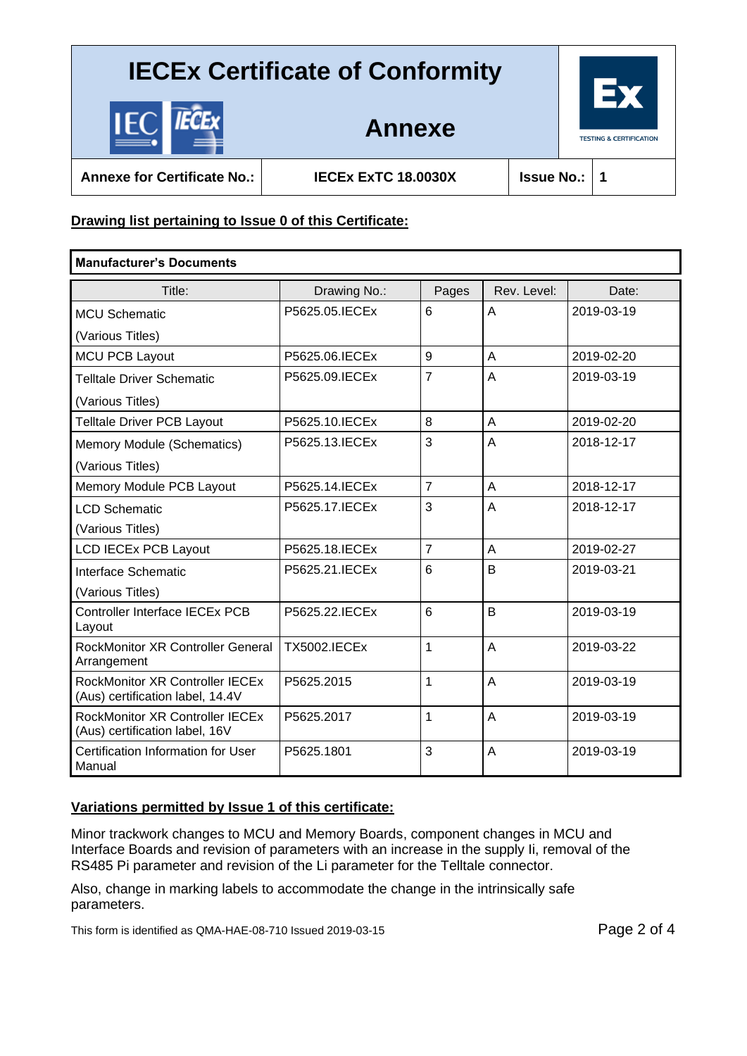

**Annexe**

**Annexe for Certificate No.: IECEx ExTC 18.0030X Issue No.: 1**

### **Drawing list pertaining to Issue 0 of this Certificate:**

| <b>Manufacturer's Documents</b>                                            |                     |                |                |            |
|----------------------------------------------------------------------------|---------------------|----------------|----------------|------------|
| Title:                                                                     | Drawing No.:        | Pages          | Rev. Level:    | Date:      |
| <b>MCU Schematic</b>                                                       | P5625.05.IECEx      | 6              | A              | 2019-03-19 |
| (Various Titles)                                                           |                     |                |                |            |
| <b>MCU PCB Layout</b>                                                      | P5625.06.IECEx      | 9              | A              | 2019-02-20 |
| <b>Telltale Driver Schematic</b>                                           | P5625.09.IECEx      | $\overline{7}$ | $\overline{A}$ | 2019-03-19 |
| (Various Titles)                                                           |                     |                |                |            |
| <b>Telltale Driver PCB Layout</b>                                          | P5625.10. IECEx     | 8              | A              | 2019-02-20 |
| Memory Module (Schematics)                                                 | P5625.13. IECEx     | 3              | A              | 2018-12-17 |
| (Various Titles)                                                           |                     |                |                |            |
| Memory Module PCB Layout                                                   | P5625.14. IECEx     | $\overline{7}$ | $\overline{A}$ | 2018-12-17 |
| <b>LCD Schematic</b>                                                       | P5625.17.IECEx      | 3              | $\overline{A}$ | 2018-12-17 |
| (Various Titles)                                                           |                     |                |                |            |
| <b>LCD IECEx PCB Layout</b>                                                | P5625.18. IECEx     | $\overline{7}$ | A              | 2019-02-27 |
| Interface Schematic                                                        | P5625.21. IECEx     | 6              | B              | 2019-03-21 |
| (Various Titles)                                                           |                     |                |                |            |
| <b>Controller Interface IECEx PCB</b><br>Layout                            | P5625.22. IECEx     | 6              | B              | 2019-03-19 |
| <b>RockMonitor XR Controller General</b><br>Arrangement                    | <b>TX5002.IECEx</b> | $\mathbf{1}$   | A              | 2019-03-22 |
| <b>RockMonitor XR Controller IECEx</b><br>(Aus) certification label, 14.4V | P5625.2015          | $\mathbf{1}$   | $\overline{A}$ | 2019-03-19 |
| <b>RockMonitor XR Controller IECEx</b><br>(Aus) certification label, 16V   | P5625.2017          | 1              | $\overline{A}$ | 2019-03-19 |
| Certification Information for User<br>Manual                               | P5625.1801          | 3              | $\overline{A}$ | 2019-03-19 |

### **Variations permitted by Issue 1 of this certificate:**

Minor trackwork changes to MCU and Memory Boards, component changes in MCU and Interface Boards and revision of parameters with an increase in the supply Ii, removal of the RS485 Pi parameter and revision of the Li parameter for the Telltale connector.

Also, change in marking labels to accommodate the change in the intrinsically safe parameters.

This form is identified as QMA-HAE-08-710 Issued 2019-03-15 Page 2 of 4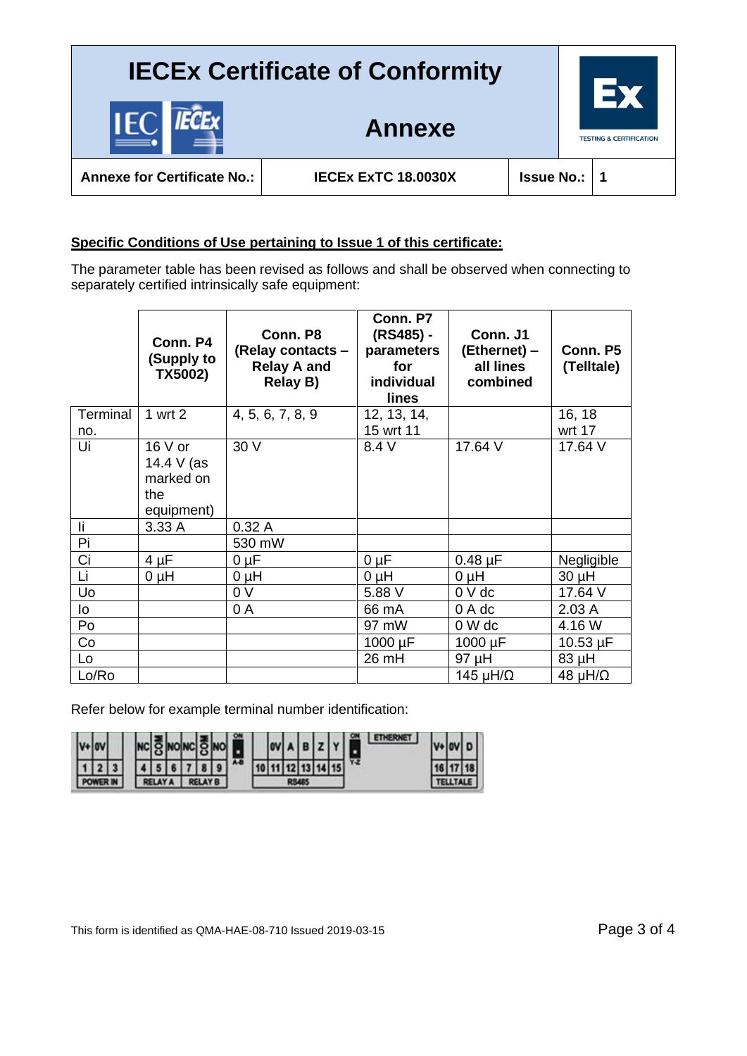**Annexe**

**TESTING & CERTIFICATION** 

**Annexe for Certificate No.: IECEx ExTC 18.0030X Issue No.: 1**

IĐ

### **Specific Conditions of Use pertaining to Issue 1 of this certificate:**

The parameter table has been revised as follows and shall be observed when connecting to separately certified intrinsically safe equipment:

|          | Conn. P4<br>(Supply to<br>TX5002)                        | Conn. P8<br>(Relay contacts -<br><b>Relay A and</b><br><b>Relay B)</b> | Conn. P7<br>(RS485) -<br>parameters<br>for<br>individual<br>lines | Conn. J1<br>(Ethernet) -<br>all lines<br>combined | Conn. P5<br>(Telltale) |
|----------|----------------------------------------------------------|------------------------------------------------------------------------|-------------------------------------------------------------------|---------------------------------------------------|------------------------|
| Terminal | 1 wrt2                                                   | 4, 5, 6, 7, 8, 9                                                       | 12, 13, 14,                                                       |                                                   | 16, 18                 |
| no.      |                                                          |                                                                        | 15 wrt 11                                                         |                                                   | wrt 17                 |
| Ui       | $16V$ or<br>14.4 V (as<br>marked on<br>the<br>equipment) | 30 V                                                                   | 8.4 V                                                             | 17.64 V                                           | 17.64 V                |
| li.      | 3.33 A                                                   | 0.32A                                                                  |                                                                   |                                                   |                        |
| Pi       |                                                          | 530 mW                                                                 |                                                                   |                                                   |                        |
| Ci       | $4 \mu F$                                                | $0 \mu F$                                                              | $0 \mu F$                                                         | $0.48 \mu F$                                      | Negligible             |
| Li       | $0 \mu H$                                                | $O~\mu H$                                                              | $0 \mu H$                                                         | $0 \mu H$                                         | 30 µH                  |
| Uo       |                                                          | 0 <sub>V</sub>                                                         | 5.88 V                                                            | $0V$ dc                                           | 17.64 V                |
| lo       |                                                          | 0 A                                                                    | 66 mA                                                             | 0 A dc                                            | 2.03A                  |
| Po       |                                                          |                                                                        | 97 mW                                                             | 0 W dc                                            | 4.16 W                 |
| Co       |                                                          |                                                                        | 1000 µF                                                           | $1000 \mu F$                                      | $10.53 \mu F$          |
| Lo       |                                                          |                                                                        | 26 mH                                                             | 97 µH                                             | 83 µH                  |
| Lo/Ro    |                                                          |                                                                        |                                                                   | 145 $\mu$ H/ $\Omega$                             | 48 $\mu$ H/ $\Omega$   |

Refer below for example terminal number identification:

| ١v |  |  |  |  |  |  |  |  |  |      |    |  |    |
|----|--|--|--|--|--|--|--|--|--|------|----|--|----|
|    |  |  |  |  |  |  |  |  |  | 15 I | YZ |  | 18 |
|    |  |  |  |  |  |  |  |  |  |      |    |  |    |